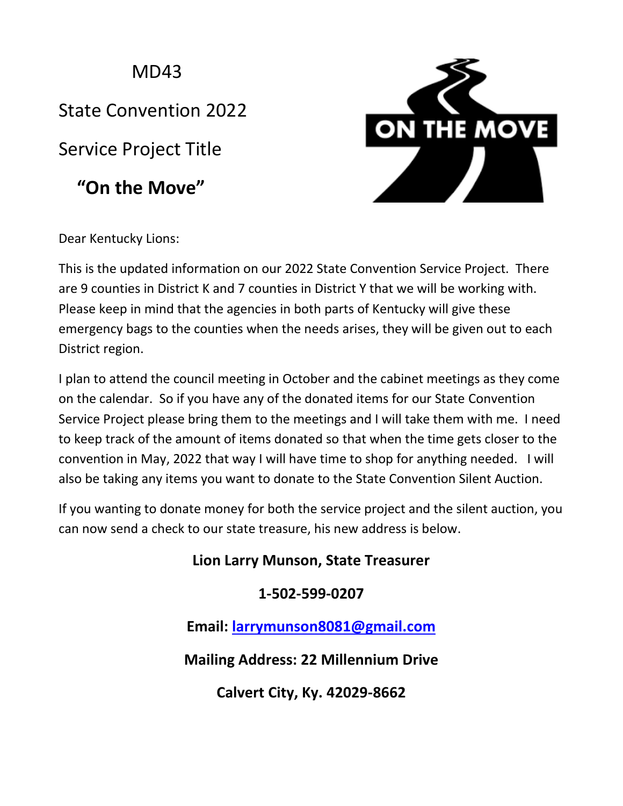MD<sub>43</sub>

State Convention 2022

Service Project Title

 **"On the Move"**



Dear Kentucky Lions:

This is the updated information on our 2022 State Convention Service Project. There are 9 counties in District K and 7 counties in District Y that we will be working with. Please keep in mind that the agencies in both parts of Kentucky will give these emergency bags to the counties when the needs arises, they will be given out to each District region.

I plan to attend the council meeting in October and the cabinet meetings as they come on the calendar. So if you have any of the donated items for our State Convention Service Project please bring them to the meetings and I will take them with me. I need to keep track of the amount of items donated so that when the time gets closer to the convention in May, 2022 that way I will have time to shop for anything needed. I will also be taking any items you want to donate to the State Convention Silent Auction.

If you wanting to donate money for both the service project and the silent auction, you can now send a check to our state treasure, his new address is below.

## **Lion Larry Munson, State Treasurer**

## **1-502-599-0207**

**Email: [larrymunson8081@gmail.com](mailto:larrymunson8081@gmail.com)**

**Mailing Address: 22 Millennium Drive**

**Calvert City, Ky. 42029-8662**